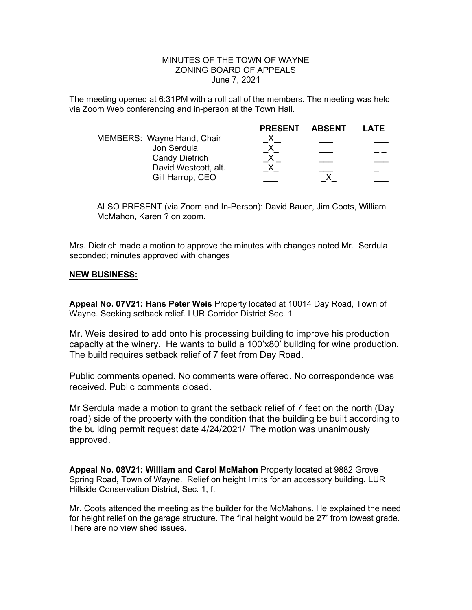## MINUTES OF THE TOWN OF WAYNE ZONING BOARD OF APPEALS June 7, 2021

The meeting opened at 6:31PM with a roll call of the members. The meeting was held via Zoom Web conferencing and in-person at the Town Hall.

|                            | <b>PRESENT</b> | ABSENT | LATE |
|----------------------------|----------------|--------|------|
| MEMBERS: Wayne Hand, Chair |                |        |      |
| Jon Serdula                |                |        |      |
| <b>Candy Dietrich</b>      |                |        |      |
| David Westcott, alt.       |                |        |      |
| Gill Harrop, CEO           |                |        |      |

ALSO PRESENT (via Zoom and In-Person): David Bauer, Jim Coots, William McMahon, Karen ? on zoom.

Mrs. Dietrich made a motion to approve the minutes with changes noted Mr. Serdula seconded; minutes approved with changes

## NEW BUSINESS:

Appeal No. 07V21: Hans Peter Weis Property located at 10014 Day Road, Town of Wayne. Seeking setback relief. LUR Corridor District Sec. 1

Mr. Weis desired to add onto his processing building to improve his production capacity at the winery. He wants to build a 100'x80' building for wine production. The build requires setback relief of 7 feet from Day Road.

Public comments opened. No comments were offered. No correspondence was received. Public comments closed.

Mr Serdula made a motion to grant the setback relief of 7 feet on the north (Day road) side of the property with the condition that the building be built according to the building permit request date 4/24/2021/ The motion was unanimously approved.

Appeal No. 08V21: William and Carol McMahon Property located at 9882 Grove Spring Road, Town of Wayne. Relief on height limits for an accessory building. LUR Hillside Conservation District, Sec. 1, f.

Mr. Coots attended the meeting as the builder for the McMahons. He explained the need for height relief on the garage structure. The final height would be 27' from lowest grade. There are no view shed issues.